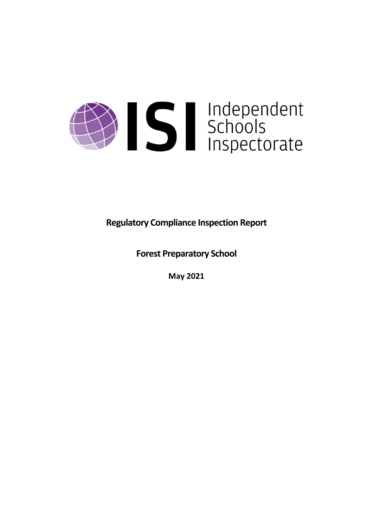

**Regulatory Compliance Inspection Report**

**Forest Preparatory School**

**May 2021**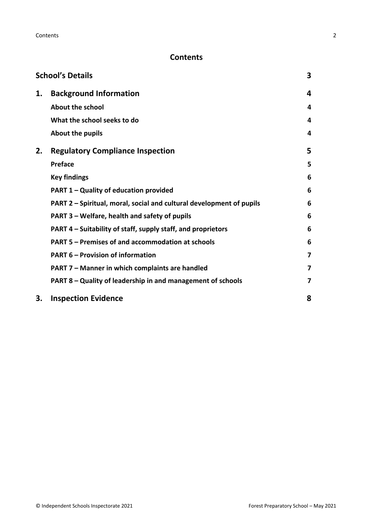# **Contents**

|    | <b>School's Details</b>                                              | 3 |
|----|----------------------------------------------------------------------|---|
| 1. | <b>Background Information</b>                                        | 4 |
|    | <b>About the school</b>                                              | 4 |
|    | What the school seeks to do                                          | 4 |
|    | About the pupils                                                     | 4 |
| 2. | <b>Regulatory Compliance Inspection</b>                              | 5 |
|    | <b>Preface</b>                                                       | 5 |
|    | <b>Key findings</b>                                                  | 6 |
|    | <b>PART 1 - Quality of education provided</b>                        | 6 |
|    | PART 2 - Spiritual, moral, social and cultural development of pupils | 6 |
|    | PART 3 – Welfare, health and safety of pupils                        | 6 |
|    | PART 4 – Suitability of staff, supply staff, and proprietors         | 6 |
|    | <b>PART 5 - Premises of and accommodation at schools</b>             | 6 |
|    | <b>PART 6 - Provision of information</b>                             | 7 |
|    | PART 7 - Manner in which complaints are handled                      | 7 |
|    | PART 8 – Quality of leadership in and management of schools          | 7 |
| 3. | <b>Inspection Evidence</b>                                           | 8 |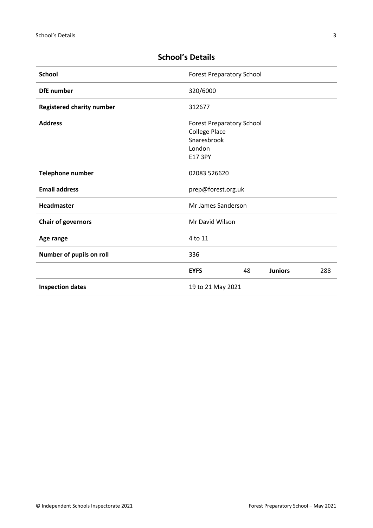| <b>School</b>                    | <b>Forest Preparatory School</b>                                                             |    |                |     |
|----------------------------------|----------------------------------------------------------------------------------------------|----|----------------|-----|
| <b>DfE</b> number                | 320/6000                                                                                     |    |                |     |
| <b>Registered charity number</b> | 312677                                                                                       |    |                |     |
| <b>Address</b>                   | <b>Forest Preparatory School</b><br><b>College Place</b><br>Snaresbrook<br>London<br>E17 3PY |    |                |     |
| Telephone number                 | 02083 526620                                                                                 |    |                |     |
| <b>Email address</b>             | prep@forest.org.uk                                                                           |    |                |     |
| Headmaster                       | Mr James Sanderson                                                                           |    |                |     |
| <b>Chair of governors</b>        | Mr David Wilson                                                                              |    |                |     |
| Age range                        | 4 to 11                                                                                      |    |                |     |
| Number of pupils on roll         | 336                                                                                          |    |                |     |
|                                  | <b>EYFS</b>                                                                                  | 48 | <b>Juniors</b> | 288 |
| <b>Inspection dates</b>          | 19 to 21 May 2021                                                                            |    |                |     |

# <span id="page-2-0"></span>**School's Details**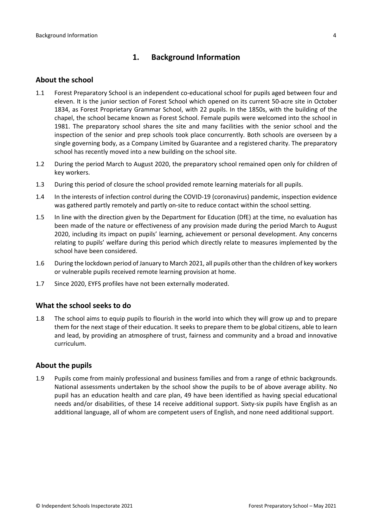# <span id="page-3-0"></span>**1. Background Information**

#### <span id="page-3-1"></span>**About the school**

- 1.1 Forest Preparatory School is an independent co-educational school for pupils aged between four and eleven. It is the junior section of Forest School which opened on its current 50-acre site in October 1834, as Forest Proprietary Grammar School, with 22 pupils. In the 1850s, with the building of the chapel, the school became known as Forest School. Female pupils were welcomed into the school in 1981. The preparatory school shares the site and many facilities with the senior school and the inspection of the senior and prep schools took place concurrently. Both schools are overseen by a single governing body, as a Company Limited by Guarantee and a registered charity. The preparatory school has recently moved into a new building on the school site.
- 1.2 During the period March to August 2020, the preparatory school remained open only for children of key workers.
- 1.3 During this period of closure the school provided remote learning materials for all pupils.
- 1.4 In the interests of infection control during the COVID-19 (coronavirus) pandemic, inspection evidence was gathered partly remotely and partly on-site to reduce contact within the school setting.
- 1.5 In line with the direction given by the Department for Education (DfE) at the time, no evaluation has been made of the nature or effectiveness of any provision made during the period March to August 2020, including its impact on pupils' learning, achievement or personal development. Any concerns relating to pupils' welfare during this period which directly relate to measures implemented by the school have been considered.
- 1.6 During the lockdown period of January to March 2021, all pupils other than the children of key workers or vulnerable pupils received remote learning provision at home.
- 1.7 Since 2020, EYFS profiles have not been externally moderated.

## <span id="page-3-2"></span>**What the school seeks to do**

1.8 The school aims to equip pupils to flourish in the world into which they will grow up and to prepare them for the next stage of their education. It seeks to prepare them to be global citizens, able to learn and lead, by providing an atmosphere of trust, fairness and community and a broad and innovative curriculum.

#### <span id="page-3-3"></span>**About the pupils**

1.9 Pupils come from mainly professional and business families and from a range of ethnic backgrounds. National assessments undertaken by the school show the pupils to be of above average ability. No pupil has an education health and care plan, 49 have been identified as having special educational needs and/or disabilities, of these 14 receive additional support. Sixty-six pupils have English as an additional language, all of whom are competent users of English, and none need additional support.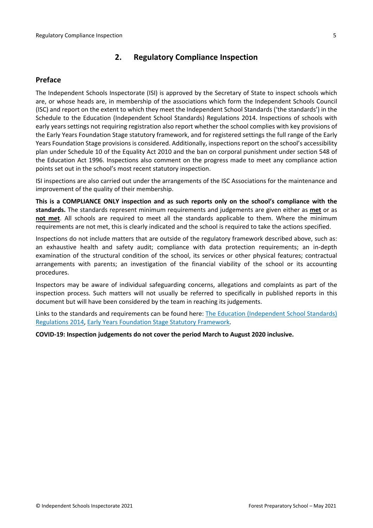# <span id="page-4-0"></span>**2. Regulatory Compliance Inspection**

## <span id="page-4-1"></span>**Preface**

The Independent Schools Inspectorate (ISI) is approved by the Secretary of State to inspect schools which are, or whose heads are, in membership of the associations which form the Independent Schools Council (ISC) and report on the extent to which they meet the Independent School Standards ('the standards') in the Schedule to the Education (Independent School Standards) Regulations 2014. Inspections of schools with early years settings not requiring registration also report whether the school complies with key provisions of the Early Years Foundation Stage statutory framework, and for registered settings the full range of the Early Years Foundation Stage provisions is considered. Additionally, inspections report on the school's accessibility plan under Schedule 10 of the Equality Act 2010 and the ban on corporal punishment under section 548 of the Education Act 1996. Inspections also comment on the progress made to meet any compliance action points set out in the school's most recent statutory inspection.

ISI inspections are also carried out under the arrangements of the ISC Associations for the maintenance and improvement of the quality of their membership.

**This is a COMPLIANCE ONLY inspection and as such reports only on the school's compliance with the standards.** The standards represent minimum requirements and judgements are given either as **met** or as **not met**. All schools are required to meet all the standards applicable to them. Where the minimum requirements are not met, this is clearly indicated and the school is required to take the actions specified.

Inspections do not include matters that are outside of the regulatory framework described above, such as: an exhaustive health and safety audit; compliance with data protection requirements; an in-depth examination of the structural condition of the school, its services or other physical features; contractual arrangements with parents; an investigation of the financial viability of the school or its accounting procedures.

Inspectors may be aware of individual safeguarding concerns, allegations and complaints as part of the inspection process. Such matters will not usually be referred to specifically in published reports in this document but will have been considered by the team in reaching its judgements.

Links to the standards and requirements can be found here: The Education [\(Independent](http://www.legislation.gov.uk/uksi/2014/3283/contents/made) School Standards) [Regulations](http://www.legislation.gov.uk/uksi/2014/3283/contents/made) 2014, Early Years Foundation Stage Statutory [Framework.](https://www.gov.uk/government/publications/early-years-foundation-stage-framework--2)

**COVID-19: Inspection judgements do not cover the period March to August 2020 inclusive.**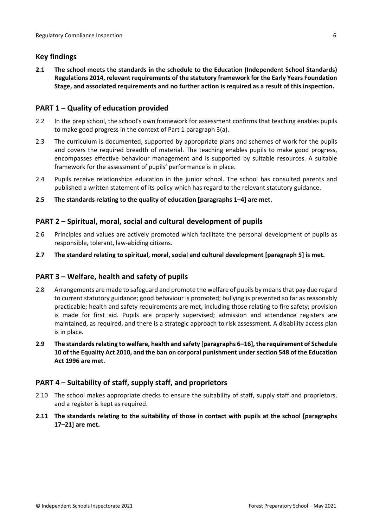## <span id="page-5-0"></span>**Key findings**

**2.1 The school meets the standards in the schedule to the Education (Independent School Standards) Regulations 2014, relevant requirements of the statutory framework for the Early Years Foundation Stage, and associated requirements and no further action is required as a result of this inspection.**

## <span id="page-5-1"></span>**PART 1 – Quality of education provided**

- 2.2 In the prep school, the school's own framework for assessment confirms that teaching enables pupils to make good progress in the context of Part 1 paragraph 3(a).
- 2.3 The curriculum is documented, supported by appropriate plans and schemes of work for the pupils and covers the required breadth of material. The teaching enables pupils to make good progress, encompasses effective behaviour management and is supported by suitable resources. A suitable framework for the assessment of pupils' performance is in place.
- 2.4 Pupils receive relationships education in the junior school. The school has consulted parents and published a written statement of its policy which has regard to the relevant statutory guidance.
- **2.5 The standards relating to the quality of education [paragraphs 1–4] are met.**

## <span id="page-5-2"></span>**PART 2 – Spiritual, moral, social and cultural development of pupils**

- 2.6 Principles and values are actively promoted which facilitate the personal development of pupils as responsible, tolerant, law-abiding citizens.
- **2.7 The standard relating to spiritual, moral, social and cultural development [paragraph 5] is met.**

## <span id="page-5-3"></span>**PART 3 – Welfare, health and safety of pupils**

- 2.8 Arrangements are made to safeguard and promote the welfare of pupils by means that pay due regard to current statutory guidance; good behaviour is promoted; bullying is prevented so far as reasonably practicable; health and safety requirements are met, including those relating to fire safety; provision is made for first aid. Pupils are properly supervised; admission and attendance registers are maintained, as required, and there is a strategic approach to risk assessment. A disability access plan is in place.
- **2.9 The standardsrelating to welfare, health and safety [paragraphs 6–16], the requirement of Schedule 10 of the Equality Act 2010, and the ban on corporal punishment undersection 548 of the Education Act 1996 are met.**

## <span id="page-5-4"></span>**PART 4 – Suitability of staff, supply staff, and proprietors**

- 2.10 The school makes appropriate checks to ensure the suitability of staff, supply staff and proprietors, and a register is kept as required.
- <span id="page-5-5"></span>**2.11 The standards relating to the suitability of those in contact with pupils at the school [paragraphs 17–21] are met.**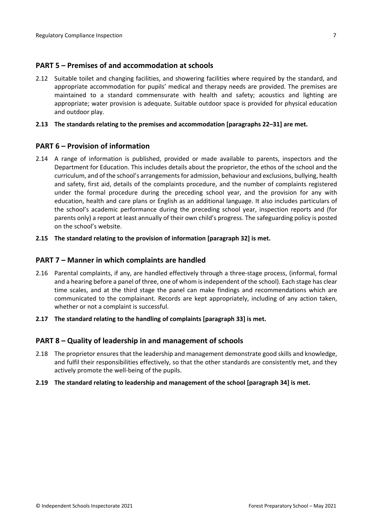### **PART 5 – Premises of and accommodation at schools**

2.12 Suitable toilet and changing facilities, and showering facilities where required by the standard, and appropriate accommodation for pupils' medical and therapy needs are provided. The premises are maintained to a standard commensurate with health and safety; acoustics and lighting are appropriate; water provision is adequate. Suitable outdoor space is provided for physical education and outdoor play.

#### **2.13 The standards relating to the premises and accommodation [paragraphs 22–31] are met.**

#### <span id="page-6-0"></span>**PART 6 – Provision of information**

2.14 A range of information is published, provided or made available to parents, inspectors and the Department for Education. This includes details about the proprietor, the ethos of the school and the curriculum, and of the school's arrangementsfor admission, behaviour and exclusions, bullying, health and safety, first aid, details of the complaints procedure, and the number of complaints registered under the formal procedure during the preceding school year, and the provision for any with education, health and care plans or English as an additional language. It also includes particulars of the school's academic performance during the preceding school year, inspection reports and (for parents only) a report at least annually of their own child's progress. The safeguarding policy is posted on the school's website.

#### **2.15 The standard relating to the provision of information [paragraph 32] is met.**

#### <span id="page-6-1"></span>**PART 7 – Manner in which complaints are handled**

- 2.16 Parental complaints, if any, are handled effectively through a three-stage process, (informal, formal and a hearing before a panel of three, one of whom is independent of the school). Each stage has clear time scales, and at the third stage the panel can make findings and recommendations which are communicated to the complainant. Records are kept appropriately, including of any action taken, whether or not a complaint is successful.
- **2.17 The standard relating to the handling of complaints [paragraph 33] is met.**

#### <span id="page-6-2"></span>**PART 8 – Quality of leadership in and management of schools**

- 2.18 The proprietor ensures that the leadership and management demonstrate good skills and knowledge, and fulfil their responsibilities effectively, so that the other standards are consistently met, and they actively promote the well-being of the pupils.
- **2.19 The standard relating to leadership and management of the school [paragraph 34] is met.**